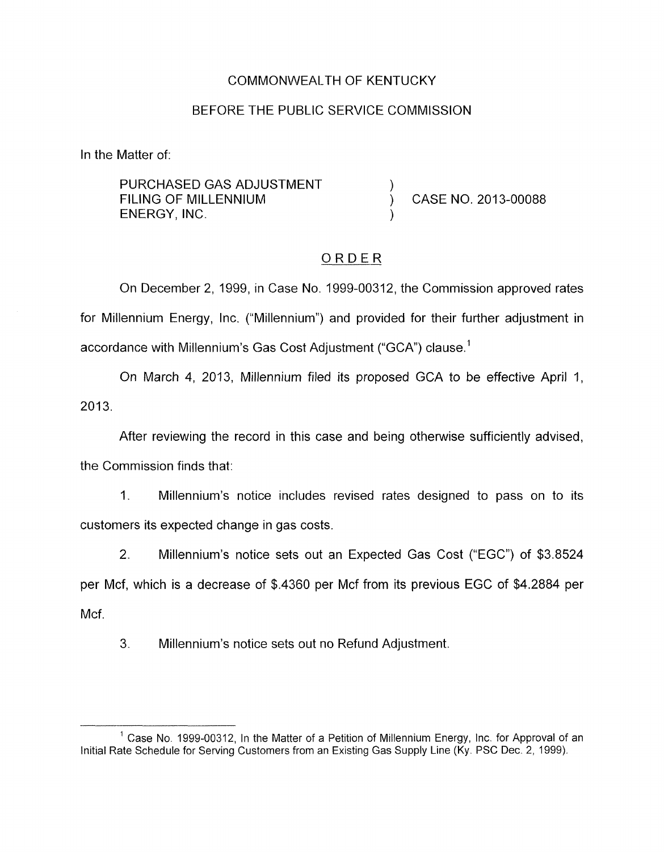#### COMMONWEALTH OF KENTUCKY

#### BEFORE THE PUBLIC SERVICE COMMISSION

In the Matter of:

PURCHASED GAS ADJUSTMENT ENERGY, INC. ) FILING OF MILLENNIUM  $\overrightarrow{)}$  CASE NO. 2013-00088

### ORDER

On December 2, 1999, in Case No. 1999-00312, the Commission approved rates for Millennium Energy, Inc. ("Millennium") and provided for their further adjustment in accordance with Millennium's Gas Cost Adjustment ("GCA") clause.'

On March 4, 2013, Millennium filed its proposed GCA to be effective April 1,  $2013.$ 

After reviewing the record in this case and being otherwise sufficiently advised, the Commission finds that:

1. Millennium's notice includes revised rates designed to pass on to its customers its expected change in gas costs.

2. Millennium's notice sets out an Expected Gas Cost ("EGC") of \$3.8524 per Mcf, which is a decrease of \$.4360 per Mcf from its previous EGC of \$4.2884 per Mcf.

3. Millennium's notice sets out no Refund Adjustment

 $<sup>1</sup>$  Case No. 1999-00312, In the Matter of a Petition of Millennium Energy, Inc. for Approval of an</sup> Initial Rate Schedule for Serving Customers from an Existing Gas Supply Line (Ky. PSC Dec. 2, 1999).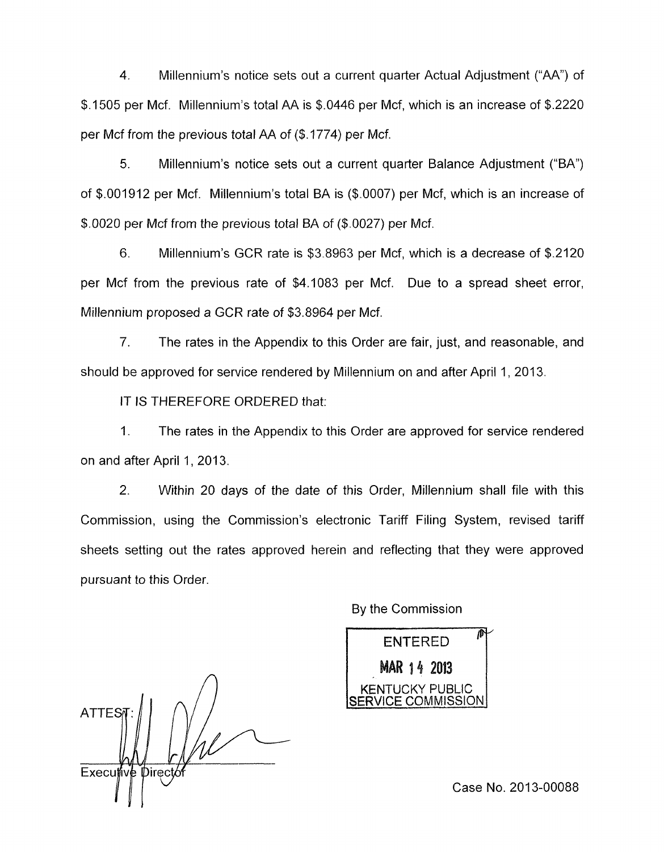4. Millennium's notice sets out a current quarter Actual Adjustment ("AA") of \$.I505 per Mcf. Millennium's total AA is \$.0446 per Mcf, which is an increase of \$.2220 per Mcf from the previous total AA of (\$. 1774) per Mcf.

*5.* Millennium's notice sets out a current quarter Balance Adjustment ("BA") of \$.001912 per Mcf. Millennium's total BA is (\$.0007) per Mcf, which is an increase of \$.0020 per Mcf from the previous total BA of (\$.0027) per Mcf.

6. Millennium's GCR rate is \$3.8963 per Mcf, which is a decrease of \$.2120 per Mcf from the previous rate of \$4.1083 per Mcf. Due to a spread sheet error, Millennium proposed a GCR rate of \$3.8964 per Mcf.

7. The rates in the Appendix to this Order are fair, just, and reasonable, and should be approved for service rendered by Millennium on and after April 1, 2013.

IT IS THEREFORE ORDERED that:

1. The rates in the Appendix to this Order are approved for service rendered on and after April 1, 2013.

2. Within 20 days of the date of this Order, Millennium shall file with this Commission, using the Commission's electronic Tariff Filing System, revised tariff sheets setting out the rates approved herein and reflecting that they were approved pursuant *to* this Order.

> ENTERED<sup>®</sup> MAR 14 2013 K<mark>ENTUC</mark>KY PUBLIC<br>RVICE COMMISSION

By the Commission

Case No. 2013-00088

**ATTES** Executive Directo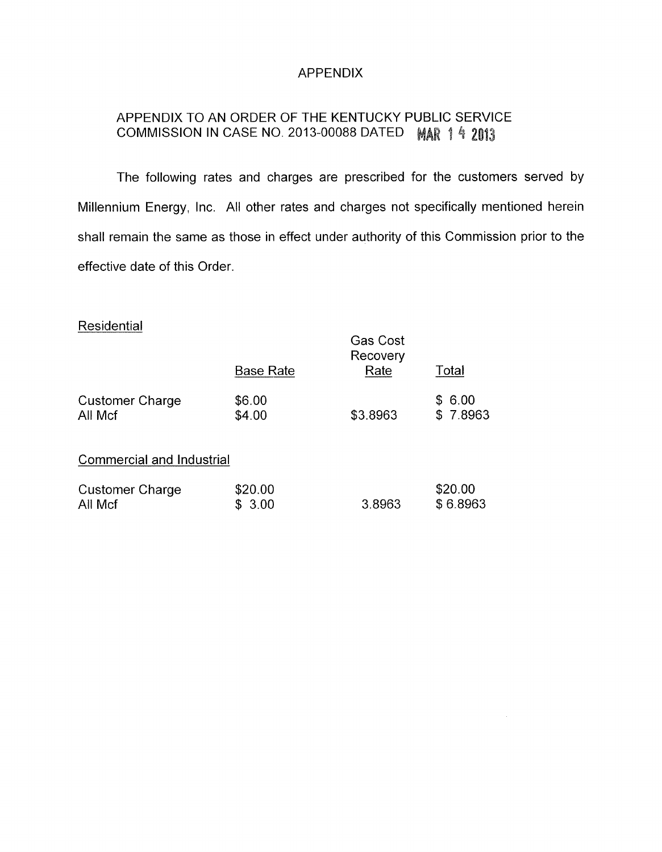## APPENDIX

# APPENDIX TO AN ORDER OF THE KENTUCKY PUBLIC SERVICE COMMISSION IN CASE NO. 2013-00088 DATED MAR 1 4 2013

The following rates and charges are prescribed for the customers served by Millennium Energy, Inc. All other rates and charges not specifically mentioned herein shall remain the same as those in effect under authority of this Commission prior to the effective date of this Order.

## **Residential**

|                                  | <b>Base Rate</b> | <b>Gas Cost</b><br>Recovery<br>Rate | Total    |
|----------------------------------|------------------|-------------------------------------|----------|
| <b>Customer Charge</b>           | \$6.00           | \$3.8963                            | \$6.00   |
| All Mcf                          | \$4.00           |                                     | \$7.8963 |
| <b>Commercial and Industrial</b> |                  |                                     |          |
| <b>Customer Charge</b>           | \$20.00          | 3.8963                              | \$20.00  |
| All Mcf                          | 3.00             |                                     | \$6.8963 |